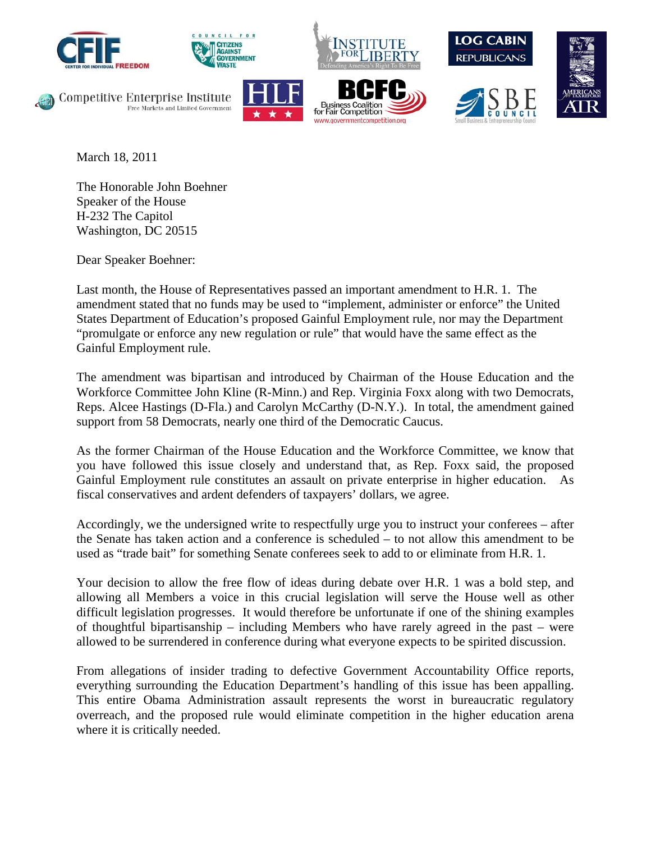









Competitive Enterprise Institute Free Markets and Limited Government





March 18, 2011

The Honorable John Boehner Speaker of the House H-232 The Capitol Washington, DC 20515

Dear Speaker Boehner:

Last month, the House of Representatives passed an important amendment to H.R. 1. The amendment stated that no funds may be used to "implement, administer or enforce" the United States Department of Education's proposed Gainful Employment rule, nor may the Department "promulgate or enforce any new regulation or rule" that would have the same effect as the Gainful Employment rule.

The amendment was bipartisan and introduced by Chairman of the House Education and the Workforce Committee John Kline (R-Minn.) and Rep. Virginia Foxx along with two Democrats, Reps. Alcee Hastings (D-Fla.) and Carolyn McCarthy (D-N.Y.). In total, the amendment gained support from 58 Democrats, nearly one third of the Democratic Caucus.

As the former Chairman of the House Education and the Workforce Committee, we know that you have followed this issue closely and understand that, as Rep. Foxx said, the proposed Gainful Employment rule constitutes an assault on private enterprise in higher education. As fiscal conservatives and ardent defenders of taxpayers' dollars, we agree.

Accordingly, we the undersigned write to respectfully urge you to instruct your conferees – after the Senate has taken action and a conference is scheduled – to not allow this amendment to be used as "trade bait" for something Senate conferees seek to add to or eliminate from H.R. 1.

Your decision to allow the free flow of ideas during debate over H.R. 1 was a bold step, and allowing all Members a voice in this crucial legislation will serve the House well as other difficult legislation progresses. It would therefore be unfortunate if one of the shining examples of thoughtful bipartisanship – including Members who have rarely agreed in the past – were allowed to be surrendered in conference during what everyone expects to be spirited discussion.

From allegations of insider trading to defective Government Accountability Office reports, everything surrounding the Education Department's handling of this issue has been appalling. This entire Obama Administration assault represents the worst in bureaucratic regulatory overreach, and the proposed rule would eliminate competition in the higher education arena where it is critically needed.